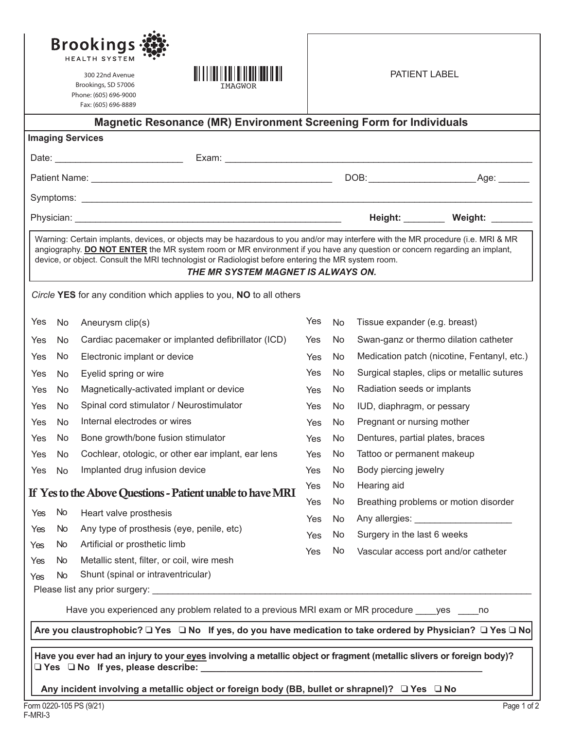

300 22nd Avenue Brookings, SD 57006 Phone: (605) 696-9000 Fax: (605) 696-8889



PATIENT LABEL

|                                                            |           | Edx: (005) 090-8889                                                                                                                                                                                                                                                                                                                                                                                                                                                             |     |        |                                             |                                   |  |
|------------------------------------------------------------|-----------|---------------------------------------------------------------------------------------------------------------------------------------------------------------------------------------------------------------------------------------------------------------------------------------------------------------------------------------------------------------------------------------------------------------------------------------------------------------------------------|-----|--------|---------------------------------------------|-----------------------------------|--|
|                                                            |           | <b>Magnetic Resonance (MR) Environment Screening Form for Individuals</b>                                                                                                                                                                                                                                                                                                                                                                                                       |     |        |                                             |                                   |  |
|                                                            |           | <b>Imaging Services</b>                                                                                                                                                                                                                                                                                                                                                                                                                                                         |     |        |                                             |                                   |  |
|                                                            |           |                                                                                                                                                                                                                                                                                                                                                                                                                                                                                 |     |        |                                             |                                   |  |
|                                                            |           |                                                                                                                                                                                                                                                                                                                                                                                                                                                                                 |     |        |                                             |                                   |  |
|                                                            |           |                                                                                                                                                                                                                                                                                                                                                                                                                                                                                 |     |        |                                             |                                   |  |
|                                                            |           |                                                                                                                                                                                                                                                                                                                                                                                                                                                                                 |     |        |                                             | Height: _________ Weight: _______ |  |
|                                                            |           | Warning: Certain implants, devices, or objects may be hazardous to you and/or may interfere with the MR procedure (i.e. MRI & MR<br>angiography. DO NOT ENTER the MR system room or MR environment if you have any question or concern regarding an implant,<br>device, or object. Consult the MRI technologist or Radiologist before entering the MR system room.<br>THE MR SYSTEM MAGNET IS ALWAYS ON.<br>Circle YES for any condition which applies to you, NO to all others |     |        |                                             |                                   |  |
|                                                            |           |                                                                                                                                                                                                                                                                                                                                                                                                                                                                                 |     |        |                                             |                                   |  |
| Yes                                                        | <b>No</b> | Aneurysm clip(s)                                                                                                                                                                                                                                                                                                                                                                                                                                                                | Yes | No     | Tissue expander (e.g. breast)               |                                   |  |
| Yes                                                        | No        | Cardiac pacemaker or implanted defibrillator (ICD)                                                                                                                                                                                                                                                                                                                                                                                                                              | Yes | No     | Swan-ganz or thermo dilation catheter       |                                   |  |
| Yes                                                        | No        | Electronic implant or device                                                                                                                                                                                                                                                                                                                                                                                                                                                    | Yes | No     | Medication patch (nicotine, Fentanyl, etc.) |                                   |  |
| Yes                                                        | No        | Eyelid spring or wire                                                                                                                                                                                                                                                                                                                                                                                                                                                           | Yes | No     | Surgical staples, clips or metallic sutures |                                   |  |
| Yes                                                        | No        | Magnetically-activated implant or device                                                                                                                                                                                                                                                                                                                                                                                                                                        | Yes | No     | Radiation seeds or implants                 |                                   |  |
| Yes                                                        | No        | Spinal cord stimulator / Neurostimulator                                                                                                                                                                                                                                                                                                                                                                                                                                        | Yes | No     | IUD, diaphragm, or pessary                  |                                   |  |
| Yes                                                        | No        | Internal electrodes or wires                                                                                                                                                                                                                                                                                                                                                                                                                                                    | Yes | No     | Pregnant or nursing mother                  |                                   |  |
| Yes                                                        | No        | Bone growth/bone fusion stimulator                                                                                                                                                                                                                                                                                                                                                                                                                                              | Yes | No     | Dentures, partial plates, braces            |                                   |  |
| Yes                                                        | No        | Cochlear, otologic, or other ear implant, ear lens                                                                                                                                                                                                                                                                                                                                                                                                                              | Yes | No     | Tattoo or permanent makeup                  |                                   |  |
| Yes                                                        | No        | Implanted drug infusion device                                                                                                                                                                                                                                                                                                                                                                                                                                                  | Yes | No     | Body piercing jewelry                       |                                   |  |
| If Yes to the Above Questions - Patient unable to have MRI |           |                                                                                                                                                                                                                                                                                                                                                                                                                                                                                 | Yes | No     | Hearing aid                                 |                                   |  |
|                                                            |           |                                                                                                                                                                                                                                                                                                                                                                                                                                                                                 | Yes | No     | Breathing problems or motion disorder       |                                   |  |
| Yes                                                        | No.       | Heart valve prosthesis                                                                                                                                                                                                                                                                                                                                                                                                                                                          |     | Yes No | Any allergies: ____________                 |                                   |  |
| Yes                                                        | No<br>No  | Any type of prosthesis (eye, penile, etc)<br>Artificial or prosthetic limb                                                                                                                                                                                                                                                                                                                                                                                                      | Yes | No     | Surgery in the last 6 weeks                 |                                   |  |
| Yes<br>Yes                                                 | No        | Metallic stent, filter, or coil, wire mesh                                                                                                                                                                                                                                                                                                                                                                                                                                      | Yes | No     | Vascular access port and/or catheter        |                                   |  |
| Yes                                                        | No        | Shunt (spinal or intraventricular)                                                                                                                                                                                                                                                                                                                                                                                                                                              |     |        |                                             |                                   |  |
|                                                            |           |                                                                                                                                                                                                                                                                                                                                                                                                                                                                                 |     |        |                                             |                                   |  |
|                                                            |           | Have you experienced any problem related to a previous MRI exam or MR procedure yes ho                                                                                                                                                                                                                                                                                                                                                                                          |     |        |                                             |                                   |  |
|                                                            |           | Are you claustrophobic? $\Box$ Yes $\Box$ No If yes, do you have medication to take ordered by Physician? $\Box$ Yes $\Box$ No                                                                                                                                                                                                                                                                                                                                                  |     |        |                                             |                                   |  |
|                                                            |           | Have you ever had an injury to your eyes involving a metallic object or fragment (metallic slivers or foreign body)?                                                                                                                                                                                                                                                                                                                                                            |     |        |                                             |                                   |  |

q **Yes** q **No If yes, please describe: \_\_\_\_\_\_\_\_\_\_\_\_\_\_\_\_\_\_\_\_\_\_\_\_\_\_\_\_\_\_\_\_\_\_\_\_\_\_\_\_\_\_\_\_\_\_\_\_\_\_\_\_\_\_\_**

Any incident involving a metallic object or foreign body (BB, bullet or shrapnel)? **Q** Yes Q No